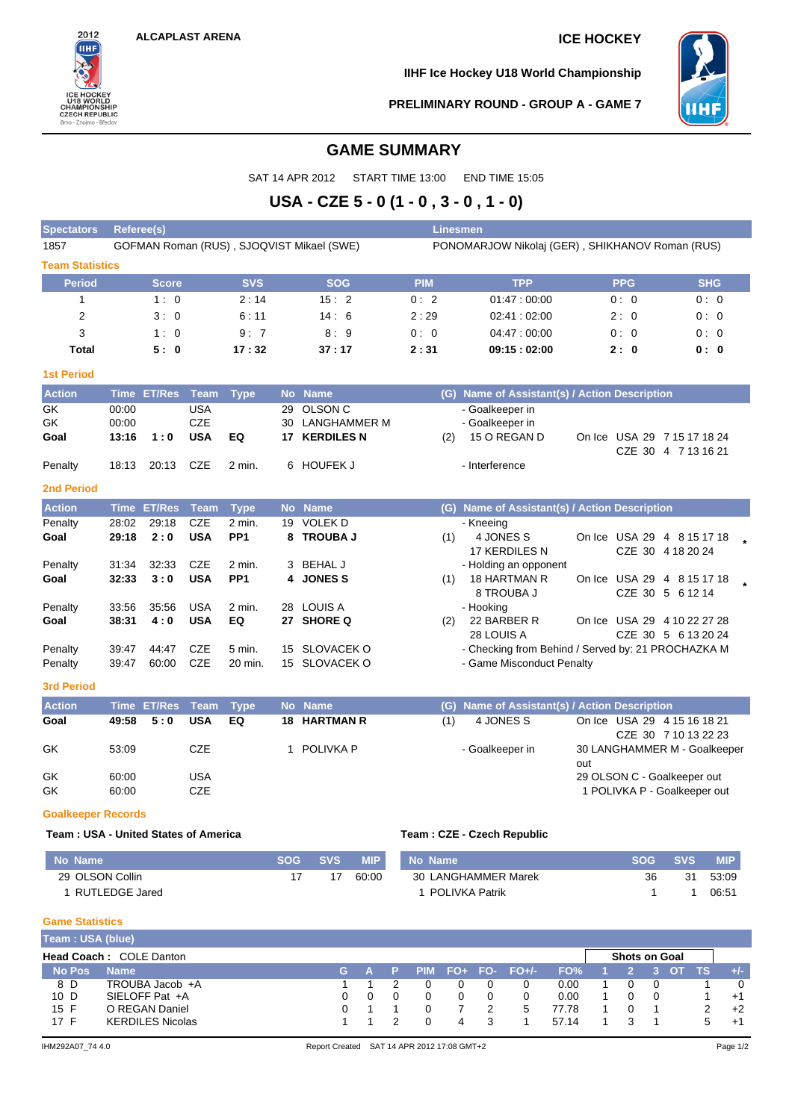

**IIHF Ice Hockey U18 World Championship**



**PRELIMINARY ROUND - GROUP A - GAME 7**

## **GAME SUMMARY**

SAT 14 APR 2012 START TIME 13:00 END TIME 15:05

# **USA - CZE 5 - 0 (1 - 0 , 3 - 0 , 1 - 0)**

| <b>Spectators</b>                           | Linesmen<br><b>Referee(s)</b>                                                                |                    |             |                   |            |                      |            |            |                                                    |     |                                                     |            |            |
|---------------------------------------------|----------------------------------------------------------------------------------------------|--------------------|-------------|-------------------|------------|----------------------|------------|------------|----------------------------------------------------|-----|-----------------------------------------------------|------------|------------|
| 1857                                        | GOFMAN Roman (RUS), SJOQVIST Mikael (SWE)<br>PONOMARJOW Nikolaj (GER), SHIKHANOV Roman (RUS) |                    |             |                   |            |                      |            |            |                                                    |     |                                                     |            |            |
| <b>Team Statistics</b>                      |                                                                                              |                    |             |                   |            |                      |            |            |                                                    |     |                                                     |            |            |
| <b>Period</b>                               |                                                                                              | <b>Score</b>       |             | <b>SVS</b>        |            | <b>SOG</b>           |            | <b>PIM</b> | <b>TPP</b>                                         |     | <b>PPG</b>                                          |            | <b>SHG</b> |
| $\mathbf{1}$                                |                                                                                              | 1:0                |             | 2:14              |            | 15:2                 |            | 0:2        | 01:47:00:00                                        |     | 0:0                                                 |            | 0:0        |
| $\overline{\mathbf{c}}$                     |                                                                                              | 3:0                |             | 6:11              |            | 14:6                 |            | 2:29       | 02:41:02:00                                        |     | 2:0                                                 |            | 0:0        |
| 3                                           |                                                                                              | 1:0                |             | 9:7               |            | 8:9                  |            | 0:0        | 04:47:00:00                                        |     | 0:0                                                 |            | 0:0        |
| Total                                       |                                                                                              | 5:0                |             | 17:32             |            | 37 : 17              |            | 2:31       | 09:15:02:00                                        |     | 2:0                                                 |            | 0:0        |
| <b>1st Period</b>                           |                                                                                              |                    |             |                   |            |                      |            |            |                                                    |     |                                                     |            |            |
| <b>Action</b>                               | <b>Time</b>                                                                                  | <b>ET/Res</b>      | <b>Team</b> | <b>Type</b>       | <b>No</b>  | <b>Name</b>          |            | (G)        | Name of Assistant(s) / Action Description          |     |                                                     |            |            |
| GK                                          | 00:00                                                                                        |                    | <b>USA</b>  |                   | 29         | <b>OLSON C</b>       |            |            | - Goalkeeper in                                    |     |                                                     |            |            |
| GK                                          | 00:00                                                                                        |                    | <b>CZE</b>  |                   | 30         | <b>LANGHAMMER M</b>  |            |            | - Goalkeeper in                                    |     |                                                     |            |            |
| Goal                                        | 13:16                                                                                        | 1:0                | <b>USA</b>  | EQ                |            | <b>17 KERDILES N</b> |            | (2)        | 15 O REGAN D                                       |     | On Ice USA 29 7 15 17 18 24<br>CZE 30 4 7 13 16 21  |            |            |
| Penalty                                     | 18:13                                                                                        | 20:13              | <b>CZE</b>  | 2 min.            |            | 6 HOUFEK J           |            |            | - Interference                                     |     |                                                     |            |            |
| <b>2nd Period</b>                           |                                                                                              |                    |             |                   |            |                      |            |            |                                                    |     |                                                     |            |            |
| <b>Action</b>                               |                                                                                              | <b>Time ET/Res</b> | <b>Team</b> | <b>Type</b>       |            | No Name              |            |            | (G) Name of Assistant(s) / Action Description      |     |                                                     |            |            |
| Penalty                                     | 28:02                                                                                        | 29:18              | <b>CZE</b>  | 2 min.            |            | 19 VOLEK D           |            |            | - Kneeing                                          |     |                                                     |            |            |
| Goal                                        | 29:18                                                                                        | 2:0                | <b>USA</b>  | PP <sub>1</sub>   |            | 8 TROUBA J           |            | (1)        | 4 JONES S<br>17 KERDILES N                         |     | On Ice USA 29 4 8 15 17 18<br>CZE 30 4 18 20 24     |            |            |
| Penalty                                     | 31:34                                                                                        | 32:33              | <b>CZE</b>  | 2 min.            | 3          | <b>BEHAL J</b>       |            |            | - Holding an opponent                              |     |                                                     |            |            |
| Goal                                        | 32:33                                                                                        | 3:0                | <b>USA</b>  | PP <sub>1</sub>   | 4          | <b>JONES S</b>       |            | (1)        | 18 HARTMAN R<br>8 TROUBA J                         |     | On Ice USA 29 4 8 15 17 18<br>CZE 30 5 6 12 14      |            |            |
| Penalty                                     | 33:56                                                                                        | 35:56              | <b>USA</b>  | 2 min.            |            | 28 LOUIS A           |            |            | - Hooking                                          |     |                                                     |            |            |
| Goal                                        | 38:31                                                                                        | 4:0                | <b>USA</b>  | EQ                |            | 27 SHORE Q           |            | (2)        | 22 BARBER R                                        |     | On Ice USA 29 4 10 22 27 28                         |            |            |
|                                             |                                                                                              |                    |             |                   |            |                      |            |            | 28 LOUIS A                                         |     | CZE 30 5 6 13 20 24                                 |            |            |
| Penalty                                     | 39:47                                                                                        | 44:47              | <b>CZE</b>  | $5 \text{ min}$ . | 15         | SLOVACEK O           |            |            | - Checking from Behind / Served by: 21 PROCHAZKA M |     |                                                     |            |            |
| Penalty                                     | 39:47                                                                                        | 60:00              | <b>CZE</b>  | 20 min.           |            | 15 SLOVACEK O        |            |            | - Game Misconduct Penalty                          |     |                                                     |            |            |
| <b>3rd Period</b>                           |                                                                                              |                    |             |                   |            |                      |            |            |                                                    |     |                                                     |            |            |
| <b>Action</b>                               |                                                                                              | <b>Time ET/Res</b> | <b>Team</b> | <b>Type</b>       |            | No Name              |            |            | (G) Name of Assistant(s) / Action Description      |     |                                                     |            |            |
| Goal                                        | 49:58                                                                                        | 5:0                | <b>USA</b>  | EQ                | 18         | <b>HARTMAN R</b>     |            | (1)        | 4 JONES S                                          |     | On Ice USA 29 4 15 16 18 21<br>CZE 30 7 10 13 22 23 |            |            |
| GK                                          | 53:09                                                                                        |                    | <b>CZE</b>  |                   | 1          | POLIVKA P            |            |            | - Goalkeeper in                                    | out | 30 LANGHAMMER M - Goalkeeper                        |            |            |
| GK                                          | 60:00                                                                                        |                    | <b>USA</b>  |                   |            |                      |            |            |                                                    |     | 29 OLSON C - Goalkeeper out                         |            |            |
| GK                                          | 60:00                                                                                        |                    | <b>CZE</b>  |                   |            |                      |            |            |                                                    |     | 1 POLIVKA P - Goalkeeper out                        |            |            |
| <b>Goalkeeper Records</b>                   |                                                                                              |                    |             |                   |            |                      |            |            |                                                    |     |                                                     |            |            |
| <b>Team: USA - United States of America</b> |                                                                                              |                    |             |                   |            |                      |            |            | Team: CZE - Czech Republic                         |     |                                                     |            |            |
| No Name                                     |                                                                                              |                    |             |                   | <b>SOG</b> | <b>SVS</b>           | <b>MIP</b> | No Name    |                                                    |     | <b>SOG</b>                                          | <b>SVS</b> | <b>MIP</b> |
| 29 OLSON Collin                             |                                                                                              |                    |             |                   | 17         | 17                   | 60:00      |            | 30 LANGHAMMER Marek                                |     | 36                                                  | 31         | 53:09      |
| 1 RUTLEDGE Jared                            |                                                                                              |                    |             |                   |            |                      |            |            | 1 POLIVKA Patrik                                   |     | $\mathbf{1}$                                        | 1          | 06:51      |

### **Game Statistics**

| Team: USA (blue) |                                |  |        |  |  |   |  |                     |       |  |                      |  |    |          |
|------------------|--------------------------------|--|--------|--|--|---|--|---------------------|-------|--|----------------------|--|----|----------|
|                  | <b>Head Coach: COLE Danton</b> |  |        |  |  |   |  |                     |       |  | <b>Shots on Goal</b> |  |    |          |
| <b>No Pos</b>    | <b>Name</b>                    |  | 7G A 7 |  |  |   |  | $PIM$ FO+ FO- FO+/- | FO%   |  |                      |  |    | $+/-$    |
| 8 D              | TROUBA Jacob +A                |  |        |  |  |   |  |                     | 0.00  |  |                      |  |    | $\Omega$ |
| 10 D             | SIELOFF Pat +A                 |  |        |  |  |   |  |                     | 0.00  |  |                      |  |    | $+1$     |
| 15 F             | O REGAN Daniel                 |  |        |  |  |   |  | :5                  | 77.78 |  |                      |  |    | $+2$     |
| 17 F             | <b>KERDILES Nicolas</b>        |  |        |  |  | 4 |  |                     | 57 14 |  |                      |  | b. | $+1$     |